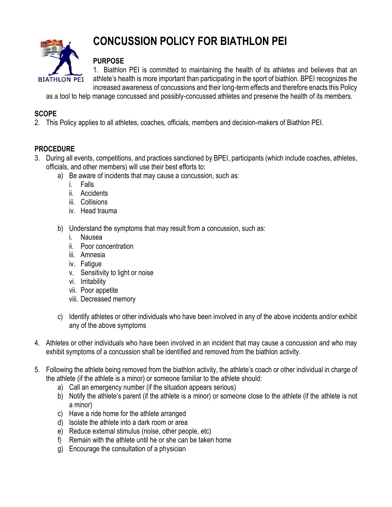

# **CONCUSSION POLICY FOR BIATHLON PEI**

## **PURPOSE**

1. Biathlon PEI is committed to maintaining the health of its athletes and believes that an athlete's health is more important than participating in the sport of biathlon. BPEI recognizes the increased awareness of concussions and their long-term effects and therefore enacts this Policy

as a tool to help manage concussed and possibly-concussed athletes and preserve the health of its members.

### **SCOPE**

2. This Policy applies to all athletes, coaches, officials, members and decision-makers of Biathlon PEI.

## **PROCEDURE**

- 3. During all events, competitions, and practices sanctioned by BPEI, participants (which include coaches, athletes, officials, and other members) will use their best efforts to:
	- a) Be aware of incidents that may cause a concussion, such as:
		- i. Falls
		- ii. Accidents
		- iii. Collisions
		- iv. Head trauma
	- b) Understand the symptoms that may result from a concussion, such as:
		- i. Nausea
		- ii. Poor concentration
		- iii. Amnesia
		- iv. Fatigue
		- v. Sensitivity to light or noise
		- vi. Irritability
		- vii. Poor appetite
		- viii. Decreased memory
	- c) Identify athletes or other individuals who have been involved in any of the above incidents and/or exhibit any of the above symptoms
- 4. Athletes or other individuals who have been involved in an incident that may cause a concussion and who may exhibit symptoms of a concussion shall be identified and removed from the biathlon activity.
- 5. Following the athlete being removed from the biathlon activity, the athlete's coach or other individual in charge of the athlete (if the athlete is a minor) or someone familiar to the athlete should:
	- a) Call an emergency number (if the situation appears serious)
	- b) Notify the athlete's parent (if the athlete is a minor) or someone close to the athlete (if the athlete is not a minor)
	- c) Have a ride home for the athlete arranged
	- d) Isolate the athlete into a dark room or area
	- e) Reduce external stimulus (noise, other people, etc)
	- f) Remain with the athlete until he or she can be taken home
	- g) Encourage the consultation of a physician